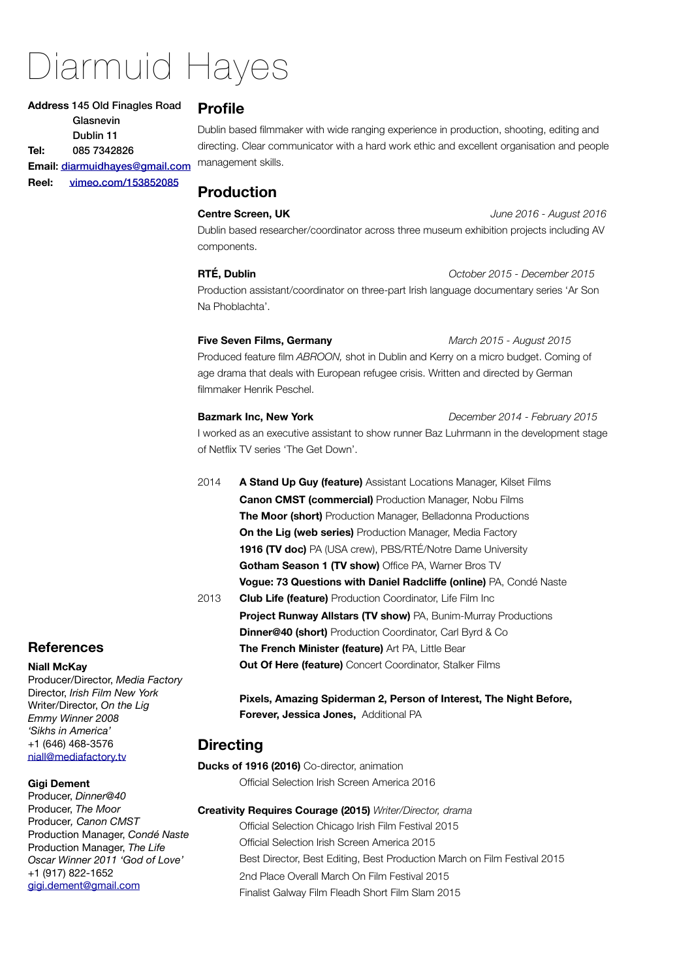# Diarmuid Hayes

**Address** 145 Old Finagles Road Glasnevin Dublin 11 **Tel:** 085 7342826 **Email**: [diarmuidhayes@gmail.com](mailto:diarmuidhayes@gmail.com) **Reel:** [vimeo.com/153852085](https://vimeo.com/153852085)

#### **Profile**

Dublin based filmmaker with wide ranging experience in production, shooting, editing and directing. Clear communicator with a hard work ethic and excellent organisation and people management skills.

## **Production**

**Centre Screen, UK Centre Screen, UK** *June 2016 - August 2016* Dublin based researcher/coordinator across three museum exhibition projects including AV components.

**RTÉ, Dublin** *Color 2015 - December 2015* Production assistant/coordinator on three-part Irish language documentary series 'Ar Son Na Phoblachta'.

**Five Seven Films, Germany** *March 2015 - August 2015* Produced feature film *ABROON,* shot in Dublin and Kerry on a micro budget. Coming of age drama that deals with European refugee crisis. Written and directed by German filmmaker Henrik Peschel.

**Bazmark Inc, New York** *December 2014 - February 2015* I worked as an executive assistant to show runner Baz Luhrmann in the development stage of Netflix TV series 'The Get Down'.

2014 **A Stand Up Guy (feature)** Assistant Locations Manager, Kilset Films **Canon CMST (commercial)** Production Manager, Nobu Films **The Moor (short)** Production Manager, Belladonna Productions **On the Lig (web series)** Production Manager, Media Factory **1916 (TV doc)** PA (USA crew), PBS/RTÉ/Notre Dame University **Gotham Season 1 (TV show)** Office PA, Warner Bros TV **Vogue: 73 Questions with Daniel Radcliffe (online)** PA, Condé Naste 2013 **Club Life (feature)** Production Coordinator, Life Film Inc **Project Runway Allstars (TV show)** PA, Bunim-Murray Productions **Dinner@40 (short)** Production Coordinator, Carl Byrd & Co **The French Minister (feature)** Art PA, Little Bear **Out Of Here (feature)** Concert Coordinator, Stalker Films

# **References**

**Niall McKay** Producer/Director, *Media Factory*

Director, *Irish Film New York* Writer/Director, *On the Lig Emmy Winner 2008 'Sikhs in America'* +1 (646) 468-3576 [niall@mediafactory.tv](mailto:niall@mediafactory.tv)

#### **Gigi Dement**

Producer, *Dinner@40* Producer, *The Moor* Producer*, Canon CMST* Production Manager, *Condé Naste* Production Manager, *The Life Oscar Winner 2011 'God of Love'* +1 (917) 822-1652 [gigi.dement@gmail.com](mailto:gigi.dement@gmail.com)

**Pixels, Amazing Spiderman 2, Person of Interest, The Night Before, Forever, Jessica Jones,** Additional PA

### **Directing**

**Ducks of 1916 (2016)** Co-director, animation Official Selection Irish Screen America 2016

**Creativity Requires Courage (2015)** *Writer/Director, drama* Official Selection Chicago Irish Film Festival 2015 Official Selection Irish Screen America 2015 Best Director, Best Editing, Best Production March on Film Festival 2015 2nd Place Overall March On Film Festival 2015 Finalist Galway Film Fleadh Short Film Slam 2015